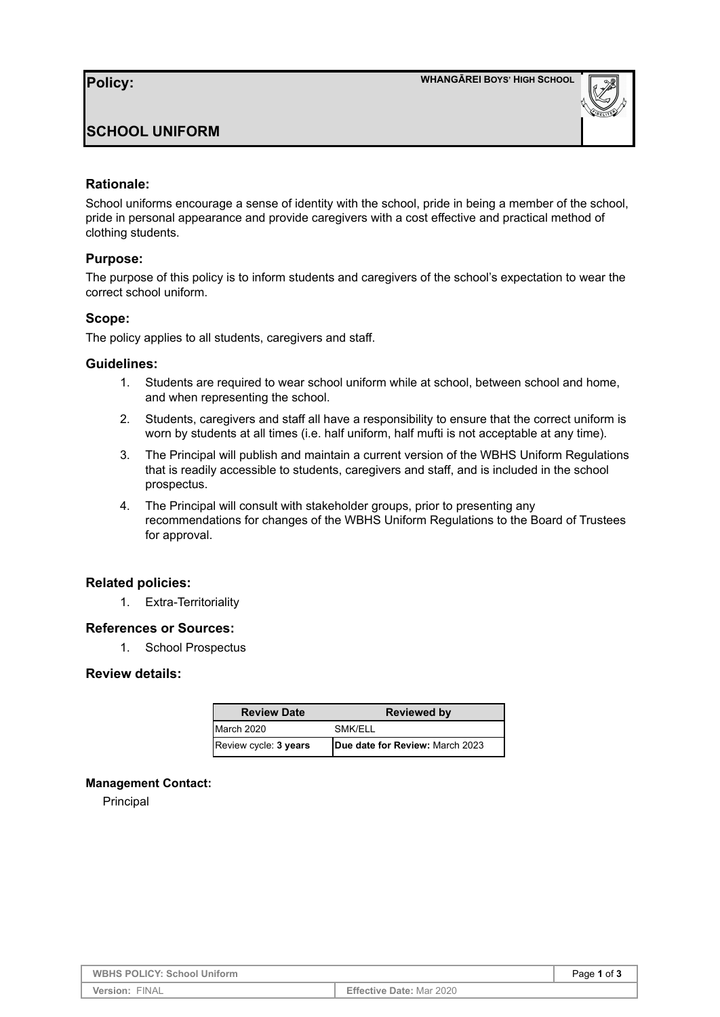

# **SCHOOL UNIFORM**

# **Rationale:**

School uniforms encourage a sense of identity with the school, pride in being a member of the school, pride in personal appearance and provide caregivers with a cost effective and practical method of clothing students.

### **Purpose:**

The purpose of this policy is to inform students and caregivers of the school's expectation to wear the correct school uniform.

### **Scope:**

The policy applies to all students, caregivers and staff.

### **Guidelines:**

- 1. Students are required to wear school uniform while at school, between school and home, and when representing the school.
- 2. Students, caregivers and staff all have a responsibility to ensure that the correct uniform is worn by students at all times (i.e. half uniform, half mufti is not acceptable at any time).
- 3. The Principal will publish and maintain a current version of the WBHS Uniform Regulations that is readily accessible to students, caregivers and staff, and is included in the school prospectus.
- 4. The Principal will consult with stakeholder groups, prior to presenting any recommendations for changes of the WBHS Uniform Regulations to the Board of Trustees for approval.

# **Related policies:**

1. Extra-Territoriality

#### **References or Sources:**

1. School Prospectus

#### **Review details:**

| <b>Review Date</b>    | <b>Reviewed by</b>              |
|-----------------------|---------------------------------|
| March 2020            | SMK/ELL                         |
| Review cycle: 3 years | Due date for Review: March 2023 |

#### **Management Contact:**

Principal

| <b>WBHS POLICY: School Uniform</b> |                                 | Page 1 of 3 |
|------------------------------------|---------------------------------|-------------|
| Version: FINAL                     | <b>Effective Date: Mar 2020</b> |             |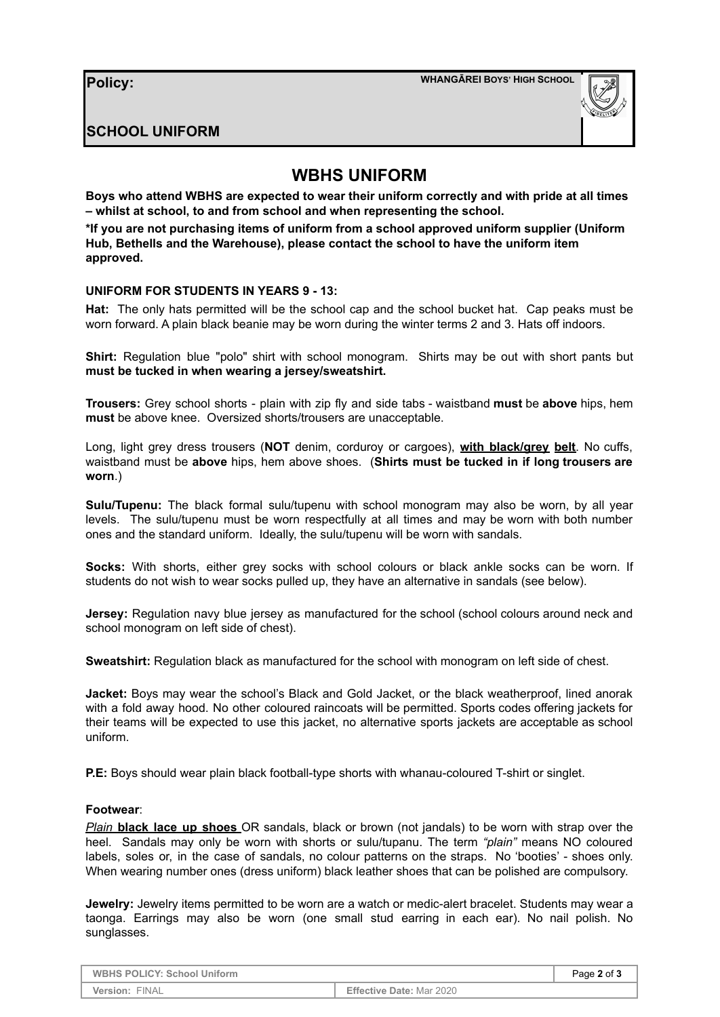# **SCHOOL UNIFORM**

# **WBHS UNIFORM**

**Boys who attend WBHS are expected to wear their uniform correctly and with pride at all times – whilst at school, to and from school and when representing the school.**

**\*If you are not purchasing items of uniform from a school approved uniform supplier (Uniform Hub, Bethells and the Warehouse), please contact the school to have the uniform item approved.**

#### **UNIFORM FOR STUDENTS IN YEARS 9 - 13:**

**Hat:** The only hats permitted will be the school cap and the school bucket hat. Cap peaks must be worn forward. A plain black beanie may be worn during the winter terms 2 and 3. Hats off indoors.

**Shirt:** Regulation blue "polo" shirt with school monogram. Shirts may be out with short pants but **must be tucked in when wearing a jersey/sweatshirt.**

**Trousers:** Grey school shorts - plain with zip fly and side tabs - waistband **must** be **above** hips, hem **must** be above knee. Oversized shorts/trousers are unacceptable.

Long, light grey dress trousers (**NOT** denim, corduroy or cargoes), **with black/grey belt**. No cuffs, waistband must be **above** hips, hem above shoes. (**Shirts must be tucked in if long trousers are worn**.)

**Sulu/Tupenu:** The black formal sulu/tupenu with school monogram may also be worn, by all year levels. The sulu/tupenu must be worn respectfully at all times and may be worn with both number ones and the standard uniform. Ideally, the sulu/tupenu will be worn with sandals.

**Socks:** With shorts, either grey socks with school colours or black ankle socks can be worn. If students do not wish to wear socks pulled up, they have an alternative in sandals (see below).

**Jersey:** Regulation navy blue jersey as manufactured for the school (school colours around neck and school monogram on left side of chest).

**Sweatshirt:** Regulation black as manufactured for the school with monogram on left side of chest.

**Jacket:** Boys may wear the school's Black and Gold Jacket, or the black weatherproof, lined anorak with a fold away hood. No other coloured raincoats will be permitted. Sports codes offering jackets for their teams will be expected to use this jacket, no alternative sports jackets are acceptable as school uniform.

**P.E:** Boys should wear plain black football-type shorts with whanau-coloured T-shirt or singlet.

#### **Footwear**:

*Plain* **black lace up shoes** OR sandals, black or brown (not jandals) to be worn with strap over the heel. Sandals may only be worn with shorts or sulu/tupanu. The term *"plain"* means NO coloured labels, soles or, in the case of sandals, no colour patterns on the straps. No 'booties' - shoes only. When wearing number ones (dress uniform) black leather shoes that can be polished are compulsory.

**Jewelry:** Jewelry items permitted to be worn are a watch or medic-alert bracelet. Students may wear a taonga. Earrings may also be worn (one small stud earring in each ear). No nail polish. No sunglasses.

**WBHS** POLICY: School Uniform **Page 2** of **3 Version:** FINAL **Effective Date:** Mar 2020